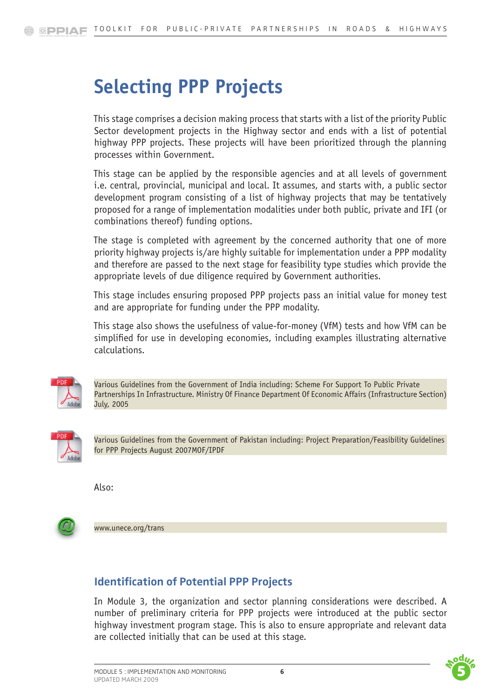# **Selecting PPP Projects**

This stage comprises a decision making process that starts with a list of the priority Public Sector development projects in the Highway sector and ends with a list of potential highway PPP projects. These projects will have been prioritized through the planning processes within Government.

This stage can be applied by the responsible agencies and at all levels of government i.e. central, provincial, municipal and local. It assumes, and starts with, a public sector development program consisting of a list of highway projects that may be tentatively proposed for a range of implementation modalities under both public, private and IFI (or combinations thereof) funding options.

The stage is completed with agreement by the concerned authority that one of more priority highway projects is/are highly suitable for implementation under a PPP modality and therefore are passed to the next stage for feasibility type studies which provide the appropriate levels of due diligence required by Government authorities.

This stage includes ensuring proposed PPP projects pass an initial value for money test and are appropriate for funding under the PPP modality.

This stage also shows the usefulness of value-for-money (VfM) tests and how VfM can be simplified for use in developing economies, including examples illustrating alternative calculations.



Various Guidelines from the Government of India including: Scheme For Support To Public Private Partnerships In Infrastructure. Ministry Of Finance Department Of Economic Affairs (Infrastructure Section) July, 2005



Various Guidelines from the Government of Pakistan including: Project Preparation/Feasibility Guidelines for PPP Projects August 2007MOF/IPDF

Also:



<www.unece.org/trans>

## **Identification of Potential PPP Projects**

In Module 3, the organization and sector planning considerations were described. A number of preliminary criteria for PPP projects were introduced at the public sector highway investment program stage. This is also to ensure appropriate and relevant data are collected initially that can be used at this stage.



 $\overline{\phantom{a}}$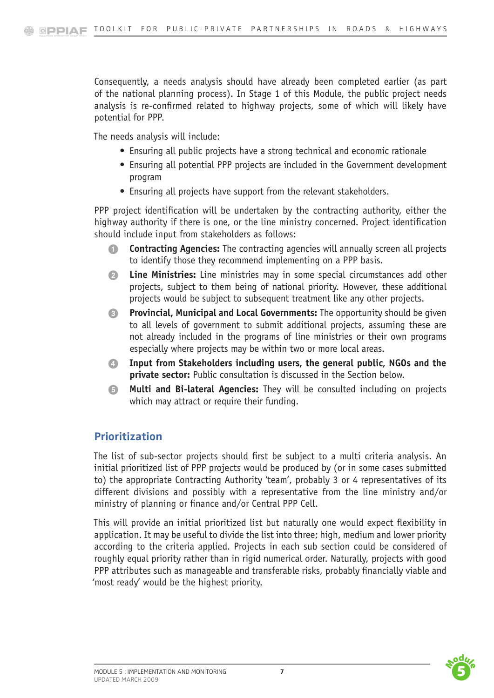Consequently, a needs analysis should have already been completed earlier (as part of the national planning process). In Stage 1 of this Module, the public project needs analysis is re-confirmed related to highway projects, some of which will likely have potential for PPP.

The needs analysis will include:

- Ensuring all public projects have a strong technical and economic rationale
- Ensuring all potential PPP projects are included in the Government development program
- Ensuring all projects have support from the relevant stakeholders.

PPP project identification will be undertaken by the contracting authority, either the highway authority if there is one, or the line ministry concerned. Project identification should include input from stakeholders as follows:

- **1. Contracting Agencies:** The contracting agencies will annually screen all projects to identify those they recommend implementing on a PPP basis.
- 2. **Line Ministries:** Line ministries may in some special circumstances add other projects, subject to them being of national priority. However, these additional projects would be subject to subsequent treatment like any other projects.
- 3. **Provincial, Municipal and Local Governments:** The opportunity should be given to all levels of government to submit additional projects, assuming these are not already included in the programs of line ministries or their own programs especially where projects may be within two or more local areas.
- 4. **Input from Stakeholders including users, the general public, NGOs and the private sector:** Public consultation is discussed in the Section below.
- 5. **Multi and Bi-lateral Agencies:** They will be consulted including on projects which may attract or require their funding.

## **Prioritization**

The list of sub-sector projects should first be subject to a multi criteria analysis. An initial prioritized list of PPP projects would be produced by (or in some cases submitted to) the appropriate Contracting Authority 'team', probably 3 or 4 representatives of its different divisions and possibly with a representative from the line ministry and/or ministry of planning or finance and/or Central PPP Cell.

This will provide an initial prioritized list but naturally one would expect flexibility in application. It may be useful to divide the list into three; high, medium and lower priority according to the criteria applied. Projects in each sub section could be considered of roughly equal priority rather than in rigid numerical order. Naturally, projects with good PPP attributes such as manageable and transferable risks, probably financially viable and 'most ready' would be the highest priority.



 $\overline{\phantom{a}}$ 

 $\overline{\phantom{a}}$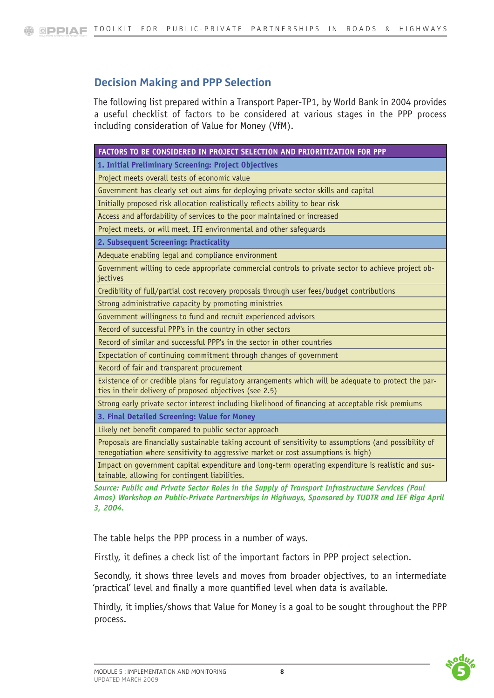# **Decision Making and PPP Selection**

The following list prepared within a Transport Paper-TP1, by World Bank in 2004 provides a useful checklist of factors to be considered at various stages in the PPP process including consideration of Value for Money (VfM).

| FACTORS TO BE CONSIDERED IN PROJECT SELECTION AND PRIORITIZATION FOR PPP                                                                                                                    |
|---------------------------------------------------------------------------------------------------------------------------------------------------------------------------------------------|
| 1. Initial Preliminary Screening: Project Objectives                                                                                                                                        |
| Project meets overall tests of economic value                                                                                                                                               |
| Government has clearly set out aims for deploying private sector skills and capital                                                                                                         |
| Initially proposed risk allocation realistically reflects ability to bear risk                                                                                                              |
| Access and affordability of services to the poor maintained or increased                                                                                                                    |
| Project meets, or will meet, IFI environmental and other safequards                                                                                                                         |
| 2. Subsequent Screening: Practicality                                                                                                                                                       |
| Adequate enabling legal and compliance environment                                                                                                                                          |
| Government willing to cede appropriate commercial controls to private sector to achieve project ob-<br>jectives                                                                             |
| Credibility of full/partial cost recovery proposals through user fees/budget contributions                                                                                                  |
| Strong administrative capacity by promoting ministries                                                                                                                                      |
| Government willingness to fund and recruit experienced advisors                                                                                                                             |
| Record of successful PPP's in the country in other sectors                                                                                                                                  |
| Record of similar and successful PPP's in the sector in other countries                                                                                                                     |
| Expectation of continuing commitment through changes of government                                                                                                                          |
| Record of fair and transparent procurement                                                                                                                                                  |
| Existence of or credible plans for regulatory arrangements which will be adequate to protect the par-<br>ties in their delivery of proposed objectives (see 2.5)                            |
| Strong early private sector interest including likelihood of financing at acceptable risk premiums                                                                                          |
| 3. Final Detailed Screening: Value for Money                                                                                                                                                |
| Likely net benefit compared to public sector approach                                                                                                                                       |
| Proposals are financially sustainable taking account of sensitivity to assumptions (and possibility of<br>renegotiation where sensitivity to aggressive market or cost assumptions is high) |
| Impact on government capital expenditure and long-term operating expenditure is realistic and sus-<br>tainable, allowing for contingent liabilities.                                        |

*Source: Public and Private Sector Roles in the Supply of Transport Infrastructure Services (Paul Amos) Workshop on Public-Private Partnerships in Highways, Sponsored by TUDTR and IEF Riga April 3, 2004.*

The table helps the PPP process in a number of ways.

Firstly, it defines a check list of the important factors in PPP project selection.

 $\overline{\phantom{a}}$ 

Secondly, it shows three levels and moves from broader objectives, to an intermediate 'practical' level and finally a more quantified level when data is available.

Thirdly, it implies/shows that Value for Money is a goal to be sought throughout the PPP process.

 $\overline{\phantom{a}}$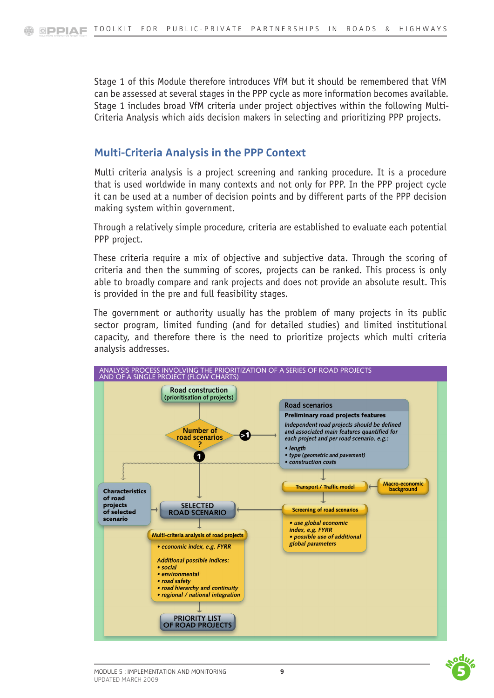Stage 1 of this Module therefore introduces VfM but it should be remembered that VfM can be assessed at several stages in the PPP cycle as more information becomes available. Stage 1 includes broad VfM criteria under project objectives within the following Multi-Criteria Analysis which aids decision makers in selecting and prioritizing PPP projects.

#### **Multi-Criteria Analysis in the PPP Context**

Multi criteria analysis is a project screening and ranking procedure. It is a procedure that is used worldwide in many contexts and not only for PPP. In the PPP project cycle it can be used at a number of decision points and by different parts of the PPP decision making system within government.

Through a relatively simple procedure, criteria are established to evaluate each potential PPP project.

These criteria require a mix of objective and subjective data. Through the scoring of criteria and then the summing of scores, projects can be ranked. This process is only able to broadly compare and rank projects and does not provide an absolute result. This is provided in the pre and full feasibility stages.

The government or authority usually has the problem of many projects in its public sector program, limited funding (and for detailed studies) and limited institutional capacity, and therefore there is the need to prioritize projects which multi criteria analysis addresses.





 $\overline{\phantom{a}}$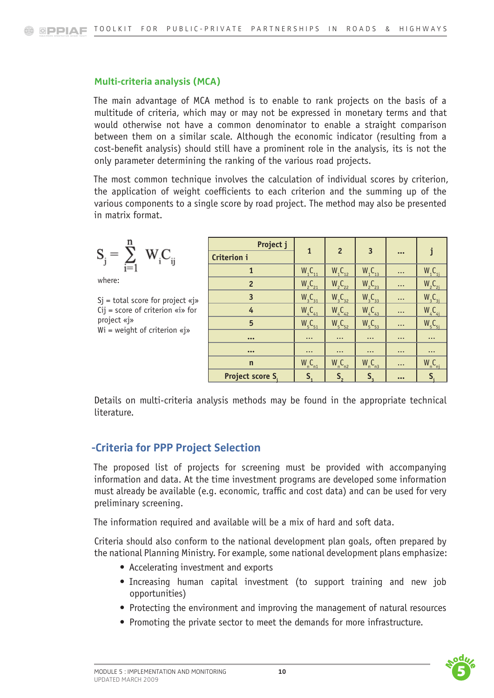#### **Multi-criteria analysis (MCA)**

The main advantage of MCA method is to enable to rank projects on the basis of a multitude of criteria, which may or may not be expressed in monetary terms and that would otherwise not have a common denominator to enable a straight comparison between them on a similar scale. Although the economic indicator (resulting from a cost-benefit analysis) should still have a prominent role in the analysis, its is not the only parameter determining the ranking of the various road projects.

The most common technique involves the calculation of individual scores by criterion, the application of weight coefficients to each criterion and the summing up of the various components to a single score by road project. The method may also be presented in matrix format.

$$
\boldsymbol{S}_j = \sum_{i=1}^n \ \boldsymbol{W}_i \boldsymbol{C}_{ij}
$$

where:

 $Si =$  total score for project «j» Cij = score of criterion «i» for project «j» Wi = weight of criterion «j»

| Project j               | $\mathbf{1}$   | $\overline{2}$                 | $\overline{3}$ |                         |                                |  |
|-------------------------|----------------|--------------------------------|----------------|-------------------------|--------------------------------|--|
| Criterion i             |                |                                |                | $\bullet\bullet\bullet$ |                                |  |
| $\mathbf{1}$            | $W_{1}C_{11}$  | $W_1C_{12}$                    | $W_{1}C_{13}$  | $\ddotsc$               | $W_1C_{1i}$                    |  |
| $\overline{2}$          | $W_{2}C_{21}$  | W <sub>2</sub> C <sub>22</sub> | $W_{2}C_{23}$  | $\cdots$                | W <sub>2</sub> C <sub>2i</sub> |  |
| 3                       | $W_{3}C_{31}$  | $W_3C_{32}$                    | $W_{3}C_{33}$  | $\cdots$                | W <sub>3</sub> C <sub>3j</sub> |  |
| 4                       | $W_{4}C_{41}$  | $W_{4}C_{42}$                  | $W_{4}C_{43}$  | $\cdots$                | $W_4C_{4j}$                    |  |
| 5                       | $W_5C_{51}$    | $W_5C_{52}$                    | $W_5C_{53}$    | $\cdots$                | $W_5C_{5i}$                    |  |
| $\bullet\bullet\bullet$ | $\cdots$       | $\cdots$                       | $\ddotsc$      | $\cdots$                | $\cdots$                       |  |
| $\bullet\bullet\bullet$ | $\ddotsc$      | $\ddotsc$                      | $\cdots$       | $\cdots$                | $\cdots$                       |  |
| $\mathsf{n}$            | $W_nC_{n1}$    | $W_nC_{n2}$                    | $W_nC_{n3}$    | $\cdots$                | $W_nC_{nj}$                    |  |
| Project score S.        | S <sub>1</sub> | S <sub>2</sub>                 | S <sub>3</sub> | $\bullet\bullet\bullet$ | $S_i$                          |  |

Details on multi-criteria analysis methods may be found in the appropriate technical literature.

## **-Criteria for PPP Project Selection**

The proposed list of projects for screening must be provided with accompanying information and data. At the time investment programs are developed some information must already be available (e.g. economic, traffic and cost data) and can be used for very preliminary screening.

The information required and available will be a mix of hard and soft data.

Criteria should also conform to the national development plan goals, often prepared by the national Planning Ministry. For example, some national development plans emphasize:

- Accelerating investment and exports
- Increasing human capital investment (to support training and new job opportunities)
- Protecting the environment and improving the management of natural resources
- Promoting the private sector to meet the demands for more infrastructure.



 $\overline{\phantom{a}}$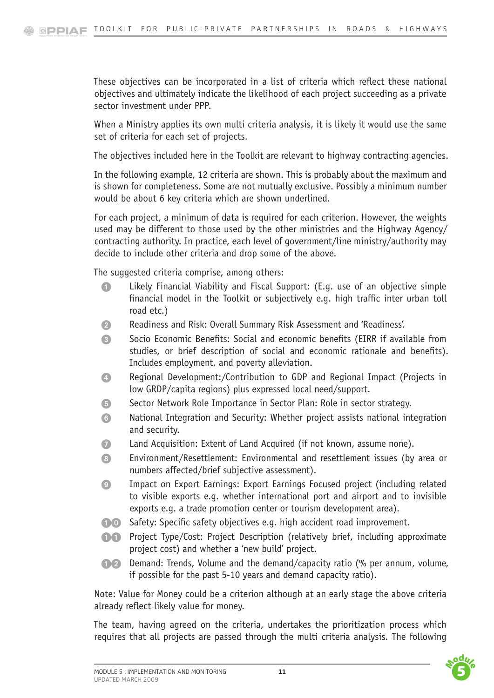These objectives can be incorporated in a list of criteria which reflect these national objectives and ultimately indicate the likelihood of each project succeeding as a private sector investment under PPP.

When a Ministry applies its own multi criteria analysis, it is likely it would use the same set of criteria for each set of projects.

The objectives included here in the Toolkit are relevant to highway contracting agencies.

In the following example, 12 criteria are shown. This is probably about the maximum and is shown for completeness. Some are not mutually exclusive. Possibly a minimum number would be about 6 key criteria which are shown underlined.

For each project, a minimum of data is required for each criterion. However, the weights used may be different to those used by the other ministries and the Highway Agency/ contracting authority. In practice, each level of government/line ministry/authority may decide to include other criteria and drop some of the above.

The suggested criteria comprise, among others:

- 1. Likely Financial Viability and Fiscal Support: (E.q. use of an objective simple financial model in the Toolkit or subjectively e.g. high traffic inter urban toll road etc.)
- 2. Readiness and Risk: Overall Summary Risk Assessment and 'Readiness'.
- 3. Socio Economic Benefits: Social and economic benefits (EIRR if available from studies, or brief description of social and economic rationale and benefits). Includes employment, and poverty alleviation.
- 4. Regional Development:/Contribution to GDP and Regional Impact (Projects in low GRDP/capita regions) plus expressed local need/support.
- **5.** Sector Network Role Importance in Sector Plan: Role in sector strategy.
- 6. National Integration and Security: Whether project assists national integration and security.
- 7. Land Acquisition: Extent of Land Acquired (if not known, assume none).
- 8. Environment/Resettlement: Environmental and resettlement issues (by area or numbers affected/brief subjective assessment).
- 9. Impact on Export Earnings: Export Earnings Focused project (including related to visible exports e.g. whether international port and airport and to invisible exports e.g. a trade promotion center or tourism development area).
- **10. Safety: Specific safety objectives e.g. high accident road improvement.**
- **11.** Project Type/Cost: Project Description (relatively brief, including approximate project cost) and whether a 'new build' project.
- 12. Demand: Trends, Volume and the demand/capacity ratio (% per annum, volume, if possible for the past 5-10 years and demand capacity ratio).

Note: Value for Money could be a criterion although at an early stage the above criteria already reflect likely value for money.

The team, having agreed on the criteria, undertakes the prioritization process which requires that all projects are passed through the multi criteria analysis. The following



 $\overline{\phantom{a}}$ 

 $\overline{\phantom{a}}$ 

 $\overline{\phantom{a}}$   $\overline{\phantom{a}}$   $\overline{\phantom{a}}$   $\overline{\phantom{a}}$   $\overline{\phantom{a}}$ 

 $\frac{1}{5}$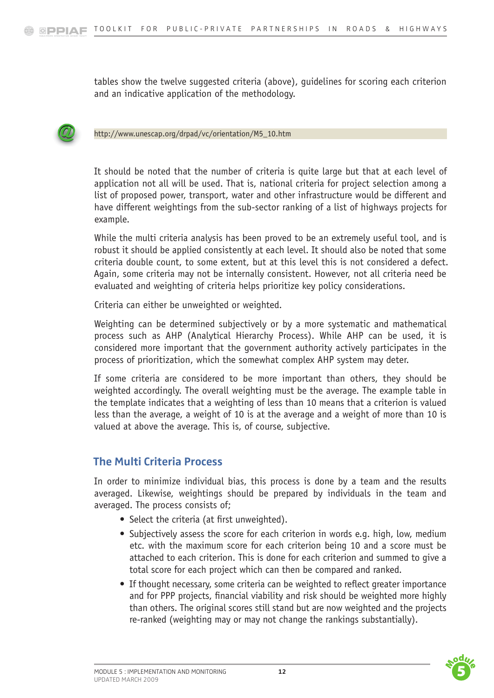tables show the twelve suggested criteria (above), guidelines for scoring each criterion and an indicative application of the methodology.



[http://www.unescap.org/drpad/vc/orientation/M5\\_10.htm](http://www.unescap.org/drpad/vc/orientation/M5_10.htm)

It should be noted that the number of criteria is quite large but that at each level of application not all will be used. That is, national criteria for project selection among a list of proposed power, transport, water and other infrastructure would be different and have different weightings from the sub-sector ranking of a list of highways projects for example.

While the multi criteria analysis has been proved to be an extremely useful tool, and is robust it should be applied consistently at each level. It should also be noted that some criteria double count, to some extent, but at this level this is not considered a defect. Again, some criteria may not be internally consistent. However, not all criteria need be evaluated and weighting of criteria helps prioritize key policy considerations.

Criteria can either be unweighted or weighted.

Weighting can be determined subjectively or by a more systematic and mathematical process such as AHP (Analytical Hierarchy Process). While AHP can be used, it is considered more important that the government authority actively participates in the process of prioritization, which the somewhat complex AHP system may deter.

If some criteria are considered to be more important than others, they should be weighted accordingly. The overall weighting must be the average. The example table in the template indicates that a weighting of less than 10 means that a criterion is valued less than the average, a weight of 10 is at the average and a weight of more than 10 is valued at above the average. This is, of course, subjective.

## **The Multi Criteria Process**

In order to minimize individual bias, this process is done by a team and the results averaged. Likewise, weightings should be prepared by individuals in the team and averaged. The process consists of;

- Select the criteria (at first unweighted).
- Subjectively assess the score for each criterion in words e.g. high, low, medium etc. with the maximum score for each criterion being 10 and a score must be attached to each criterion. This is done for each criterion and summed to give a total score for each project which can then be compared and ranked.
- If thought necessary, some criteria can be weighted to reflect greater importance and for PPP projects, financial viability and risk should be weighted more highly than others. The original scores still stand but are now weighted and the projects re-ranked (weighting may or may not change the rankings substantially).



 $\overline{\phantom{a}}$ 

 $\overline{\phantom{a}}$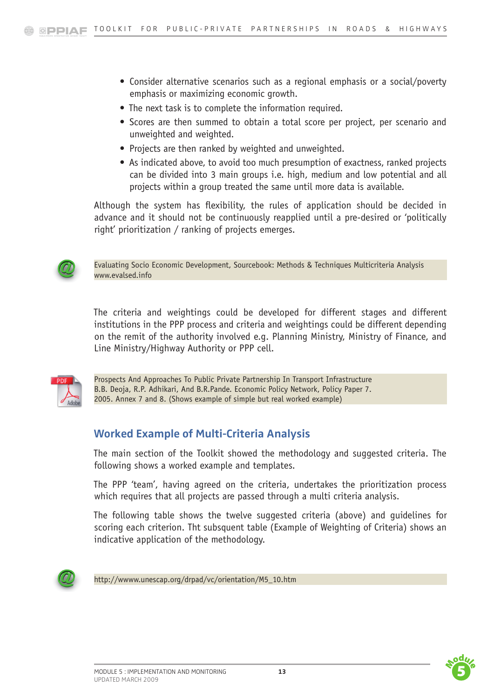- Consider alternative scenarios such as a regional emphasis or a social/poverty emphasis or maximizing economic growth.
- The next task is to complete the information required.
- Scores are then summed to obtain a total score per project, per scenario and unweighted and weighted.
- Projects are then ranked by weighted and unweighted.
- As indicated above, to avoid too much presumption of exactness, ranked projects can be divided into 3 main groups i.e. high, medium and low potential and all projects within a group treated the same until more data is available.

Although the system has flexibility, the rules of application should be decided in advance and it should not be continuously reapplied until a pre-desired or 'politically right' prioritization / ranking of projects emerges.



[Evaluating Socio Economic Development, Sourcebook: Methods & Techniques Multicriteria Analysis](http://ec.europa.eu/regional_policy/sources/docgener/evaluation/evalsed/index_en.htm)  [www.evalsed.info](http://ec.europa.eu/regional_policy/sources/docgener/evaluation/evalsed/index_en.htm)

The criteria and weightings could be developed for different stages and different institutions in the PPP process and criteria and weightings could be different depending on the remit of the authority involved e.g. Planning Ministry, Ministry of Finance, and Line Ministry/Highway Authority or PPP cell.



Prospects And Approaches To Public Private Partnership In Transport Infrastructure B.B. Deoja, R.P. Adhikari, And B.R.Pande. Economic Policy Network, Policy Paper 7. 2005. Annex 7 and 8. (Shows example of simple but real worked example)

## **Worked Example of Multi-Criteria Analysis**

The main section of the Toolkit showed the methodology and suggested criteria. The following shows a worked example and templates.

The PPP 'team', having agreed on the criteria, undertakes the prioritization process which requires that all projects are passed through a multi criteria analysis.

The following table shows the twelve suggested criteria (above) and guidelines for scoring each criterion. Tht subsquent table (Example of Weighting of Criteria) shows an indicative application of the methodology.



[http://wwww.unescap.org/drpad/vc/orientation/M5\\_10.htm](http://www.unescap.org/drpad/vc/orientation/M5_10.htm)



 $\overline{\phantom{a}}$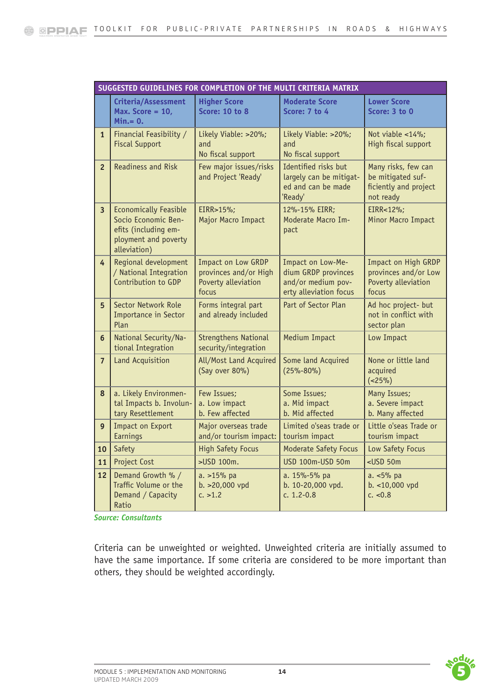|                         | SUGGESTED GUIDELINES FOR COMPLETION OF THE MULTI CRITERIA MATRIX                                                    |                                                                             |                                                                                          |                                                                                |  |  |  |  |  |
|-------------------------|---------------------------------------------------------------------------------------------------------------------|-----------------------------------------------------------------------------|------------------------------------------------------------------------------------------|--------------------------------------------------------------------------------|--|--|--|--|--|
|                         | Criteria/Assessment<br>Max. Score = $10$ ,<br>$Min = 0.$                                                            | <b>Higher Score</b><br><b>Score: 10 to 8</b>                                | <b>Moderate Score</b><br>Score: 7 to 4                                                   | <b>Lower Score</b><br>Score: 3 to 0                                            |  |  |  |  |  |
| $\mathbf{1}$            | Financial Feasibility /<br><b>Fiscal Support</b>                                                                    | Likely Viable: >20%;<br>and<br>No fiscal support                            | Likely Viable: >20%;<br>and<br>No fiscal support                                         | Not viable <14%;<br>High fiscal support                                        |  |  |  |  |  |
| $\overline{2}$          | <b>Readiness and Risk</b>                                                                                           | Few major issues/risks<br>and Project 'Ready'                               | Identified risks but<br>largely can be mitigat-<br>ed and can be made<br>'Ready'         | Many risks, few can<br>be mitigated suf-<br>ficiently and project<br>not ready |  |  |  |  |  |
| $\overline{\mathbf{3}}$ | <b>Economically Feasible</b><br>Socio Economic Ben-<br>efits (including em-<br>ployment and poverty<br>alleviation) | EIRR>15%;<br>Major Macro Impact                                             | 12%-15% EIRR;<br>Moderate Macro Im-<br>pact                                              | EIRR<12%;<br>Minor Macro Impact                                                |  |  |  |  |  |
| 4                       | Regional development<br>/ National Integration<br>Contribution to GDP                                               | Impact on Low GRDP<br>provinces and/or High<br>Poverty alleviation<br>focus | Impact on Low-Me-<br>dium GRDP provinces<br>and/or medium pov-<br>erty alleviation focus | Impact on High GRDP<br>provinces and/or Low<br>Poverty alleviation<br>focus    |  |  |  |  |  |
| 5                       | Sector Network Role<br>Importance in Sector<br>Plan                                                                 | Forms integral part<br>and already included                                 | Part of Sector Plan                                                                      | Ad hoc project- but<br>not in conflict with<br>sector plan                     |  |  |  |  |  |
| $6\phantom{a}$          | National Security/Na-<br>tional Integration                                                                         | <b>Strengthens National</b><br>security/integration                         | Medium Impact                                                                            | Low Impact                                                                     |  |  |  |  |  |
| $\overline{7}$          | Land Acquisition                                                                                                    | All/Most Land Acquired<br>(Say over 80%)                                    | Some land Acquired<br>$(25% - 80%)$                                                      | None or little land<br>acquired<br>$(<25\%)$                                   |  |  |  |  |  |
| 8                       | a. Likely Environmen-<br>tal Impacts b. Involun-<br>tary Resettlement                                               | Few Issues;<br>a. Low impact<br>b. Few affected                             | Some Issues;<br>a. Mid impact<br>b. Mid affected                                         | Many Issues;<br>a. Severe impact<br>b. Many affected                           |  |  |  |  |  |
| 9 <sup>°</sup>          | Impact on Export<br>Earnings                                                                                        | Major overseas trade<br>and/or tourism impact:                              | Limited o'seas trade or<br>tourism impact                                                | Little o'seas Trade or<br>tourism impact                                       |  |  |  |  |  |
| 10                      | Safety                                                                                                              | <b>High Safety Focus</b>                                                    | <b>Moderate Safety Focus</b>                                                             | Low Safety Focus                                                               |  |  |  |  |  |
| 11                      | Project Cost                                                                                                        | >USD 100m.                                                                  | <b>USD 100m-USD 50m</b>                                                                  | $<$ USD 50 $m$                                                                 |  |  |  |  |  |
| 12                      | Demand Growth % /<br>Traffic Volume or the<br>Demand / Capacity<br>Ratio                                            | a. >15% pa<br>b. >20,000 vpd<br>c. > 1.2                                    | a. 15%-5% pa<br>b. 10-20,000 vpd.<br>c. $1.2 - 0.8$                                      | a. <5% pa<br>b. <10,000 vpd<br>c. < 0.8                                        |  |  |  |  |  |

*Source: Consultants*

Criteria can be unweighted or weighted. Unweighted criteria are initially assumed to have the same importance. If some criteria are considered to be more important than others, they should be weighted accordingly.



 $\overline{\phantom{a}}$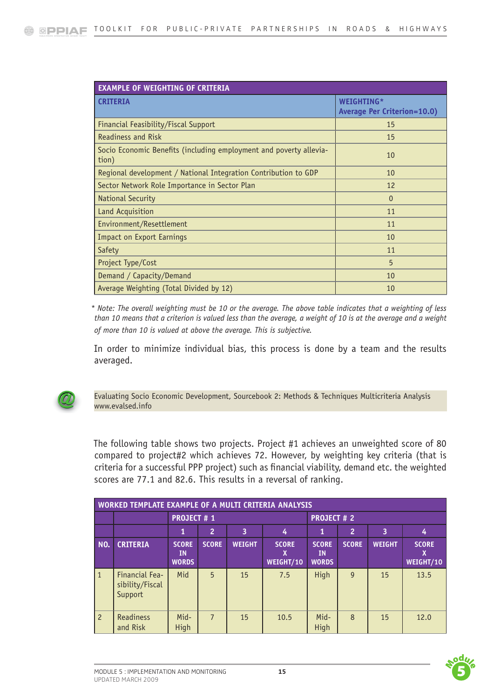| <b>EXAMPLE OF WEIGHTING OF CRITERIA</b>                                     |                                                  |
|-----------------------------------------------------------------------------|--------------------------------------------------|
| <b>CRITERIA</b>                                                             | WEIGHTING*<br><b>Average Per Criterion=10.0)</b> |
| Financial Feasibility/Fiscal Support                                        | 15                                               |
| <b>Readiness and Risk</b>                                                   | 15                                               |
| Socio Economic Benefits (including employment and poverty allevia-<br>tion) | 10                                               |
| Regional development / National Integration Contribution to GDP             | 10                                               |
| Sector Network Role Importance in Sector Plan                               | 12                                               |
| <b>National Security</b>                                                    | $\Omega$                                         |
| Land Acquisition                                                            | 11                                               |
| Environment/Resettlement                                                    | 11                                               |
| <b>Impact on Export Earnings</b>                                            | 10                                               |
| Safety                                                                      | 11                                               |
| Project Type/Cost                                                           | 5                                                |
| Demand / Capacity/Demand                                                    | 10                                               |
| Average Weighting (Total Divided by 12)                                     | 10                                               |

*\* Note: The overall weighting must be 10 or the average. The above table indicates that a weighting of less than 10 means that a criterion is valued less than the average, a weight of 10 is at the average and a weight of more than 10 is valued at above the average. This is subjective.*

In order to minimize individual bias, this process is done by a team and the results averaged.



[Evaluating Socio Economic Development, Sourcebook 2: Methods & Techniques Multicriteria Analysis](http://ec.europa.eu/regional_policy/sources/docgener/evaluation/evalsed/index_en.htm)  [www.evalsed.info](http://ec.europa.eu/regional_policy/sources/docgener/evaluation/evalsed/index_en.htm)

The following table shows two projects. Project #1 achieves an unweighted score of 80 compared to project#2 which achieves 72. However, by weighting key criteria (that is criteria for a successful PPP project) such as financial viability, demand etc. the weighted scores are 77.1 and 82.6. This results in a reversal of ranking.

| WORKED TEMPLATE EXAMPLE OF A MULTI CRITERIA ANALYSIS |                                              |                                    |                       |               |                           |                                           |                |               |                                  |
|------------------------------------------------------|----------------------------------------------|------------------------------------|-----------------------|---------------|---------------------------|-------------------------------------------|----------------|---------------|----------------------------------|
|                                                      |                                              | <b>PROJECT #1</b>                  |                       |               |                           | <b>PROJECT #2</b>                         |                |               |                                  |
|                                                      |                                              | 1                                  | $ 2\rangle$<br>3<br>4 |               |                           |                                           | $\overline{2}$ | 3             | 4                                |
| NO.                                                  | <b>CRITERIA</b>                              | <b>SCORE</b><br>ΙN<br><b>WORDS</b> | <b>SCORE</b>          | <b>WEIGHT</b> | <b>SCORE</b><br>WEIGHT/10 | <b>SCORE</b><br><b>IN</b><br><b>WORDS</b> | <b>SCORE</b>   | <b>WEIGHT</b> | <b>SCORE</b><br><b>WEIGHT/10</b> |
| $\vert$ 1                                            | Financial Fea-<br>sibility/Fiscal<br>Support | Mid                                | $5\overline{)}$       | 15            | 7.5                       | High                                      | $\mathsf{q}$   | 15            | 13.5                             |
| $\vert$ 2                                            | <b>Readiness</b><br>and Risk                 | Mid-<br>High                       | $\overline{7}$        | 15            | 10.5                      | Mid-<br>High                              | $\mathcal{B}$  | 15            | 12.0                             |



 $\overline{\phantom{a}}$